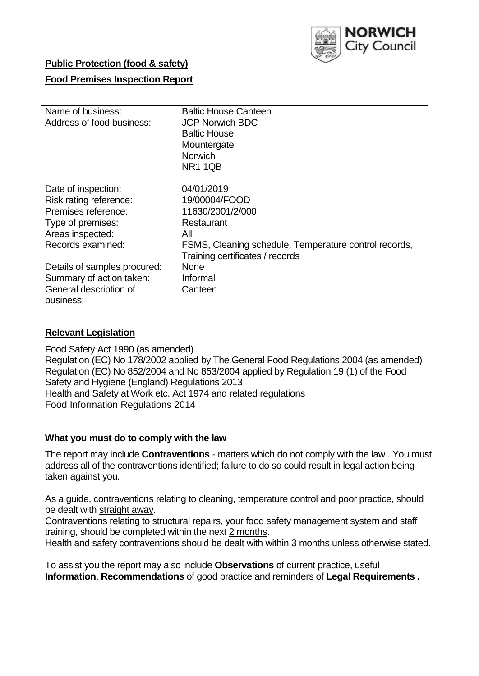

## **Public Protection (food & safety)**

## **Food Premises Inspection Report**

| Name of business:            | <b>Baltic House Canteen</b>                           |
|------------------------------|-------------------------------------------------------|
| Address of food business:    | <b>JCP Norwich BDC</b>                                |
|                              | <b>Baltic House</b>                                   |
|                              | Mountergate                                           |
|                              | <b>Norwich</b>                                        |
|                              | NR11QB                                                |
| Date of inspection:          | 04/01/2019                                            |
| Risk rating reference:       | 19/00004/FOOD                                         |
| Premises reference:          | 11630/2001/2/000                                      |
| Type of premises:            | Restaurant                                            |
| Areas inspected:             | All                                                   |
| Records examined:            | FSMS, Cleaning schedule, Temperature control records, |
|                              | Training certificates / records                       |
| Details of samples procured: | <b>None</b>                                           |
| Summary of action taken:     | Informal                                              |
| General description of       | Canteen                                               |
| business:                    |                                                       |

#### **Relevant Legislation**

Food Safety Act 1990 (as amended) Regulation (EC) No 178/2002 applied by The General Food Regulations 2004 (as amended) Regulation (EC) No 852/2004 and No 853/2004 applied by Regulation 19 (1) of the Food Safety and Hygiene (England) Regulations 2013 Health and Safety at Work etc. Act 1974 and related regulations Food Information Regulations 2014

#### **What you must do to comply with the law**

The report may include **Contraventions** - matters which do not comply with the law . You must address all of the contraventions identified; failure to do so could result in legal action being taken against you.

As a guide, contraventions relating to cleaning, temperature control and poor practice, should be dealt with straight away.

Contraventions relating to structural repairs, your food safety management system and staff training, should be completed within the next 2 months.

Health and safety contraventions should be dealt with within 3 months unless otherwise stated.

To assist you the report may also include **Observations** of current practice, useful **Information**, **Recommendations** of good practice and reminders of **Legal Requirements .**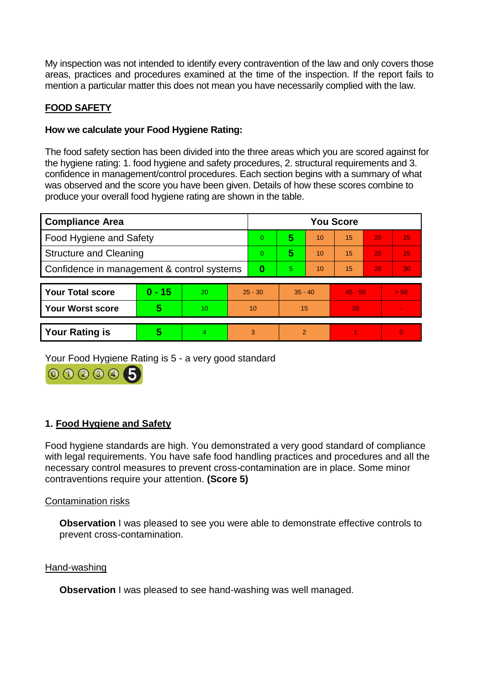My inspection was not intended to identify every contravention of the law and only covers those areas, practices and procedures examined at the time of the inspection. If the report fails to mention a particular matter this does not mean you have necessarily complied with the law.

# **FOOD SAFETY**

## **How we calculate your Food Hygiene Rating:**

The food safety section has been divided into the three areas which you are scored against for the hygiene rating: 1. food hygiene and safety procedures, 2. structural requirements and 3. confidence in management/control procedures. Each section begins with a summary of what was observed and the score you have been given. Details of how these scores combine to produce your overall food hygiene rating are shown in the table.

| <b>Compliance Area</b>                     |          |                 |           | <b>You Score</b> |               |    |           |                 |      |  |  |
|--------------------------------------------|----------|-----------------|-----------|------------------|---------------|----|-----------|-----------------|------|--|--|
| Food Hygiene and Safety                    |          |                 |           | $\Omega$         | 5             | 10 | 15        | 20              | 25   |  |  |
| <b>Structure and Cleaning</b>              |          |                 | $\Omega$  | 5                | 10            | 15 | 20        | 25              |      |  |  |
| Confidence in management & control systems |          |                 | 0         | 5.               | 10            | 15 | 20        | 30 <sub>1</sub> |      |  |  |
|                                            |          |                 |           |                  |               |    |           |                 |      |  |  |
| <b>Your Total score</b>                    | $0 - 15$ | 20              | $25 - 30$ |                  | $35 - 40$     |    | $45 - 50$ |                 | > 50 |  |  |
| Your Worst score                           | 5        | 10 <sup>°</sup> | 10        |                  | 15            |    | 20        |                 |      |  |  |
|                                            |          |                 |           |                  |               |    |           |                 |      |  |  |
| <b>Your Rating is</b>                      | 5        | 4               |           | 3                | $\mathcal{P}$ |    |           |                 |      |  |  |

Your Food Hygiene Rating is 5 - a very good standard



# **1. Food Hygiene and Safety**

Food hygiene standards are high. You demonstrated a very good standard of compliance with legal requirements. You have safe food handling practices and procedures and all the necessary control measures to prevent cross-contamination are in place. Some minor contraventions require your attention. **(Score 5)**

#### Contamination risks

**Observation** I was pleased to see you were able to demonstrate effective controls to prevent cross-contamination.

#### Hand-washing

**Observation** I was pleased to see hand-washing was well managed.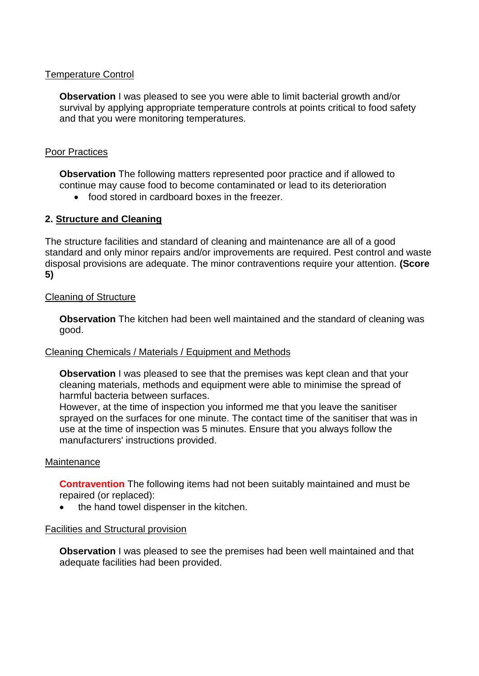### Temperature Control

**Observation** I was pleased to see you were able to limit bacterial growth and/or survival by applying appropriate temperature controls at points critical to food safety and that you were monitoring temperatures.

### Poor Practices

**Observation** The following matters represented poor practice and if allowed to continue may cause food to become contaminated or lead to its deterioration

food stored in cardboard boxes in the freezer.

## **2. Structure and Cleaning**

The structure facilities and standard of cleaning and maintenance are all of a good standard and only minor repairs and/or improvements are required. Pest control and waste disposal provisions are adequate. The minor contraventions require your attention. **(Score 5)**

### Cleaning of Structure

**Observation** The kitchen had been well maintained and the standard of cleaning was good.

### Cleaning Chemicals / Materials / Equipment and Methods

**Observation** I was pleased to see that the premises was kept clean and that your cleaning materials, methods and equipment were able to minimise the spread of harmful bacteria between surfaces.

However, at the time of inspection you informed me that you leave the sanitiser sprayed on the surfaces for one minute. The contact time of the sanitiser that was in use at the time of inspection was 5 minutes. Ensure that you always follow the manufacturers' instructions provided.

### **Maintenance**

**Contravention** The following items had not been suitably maintained and must be repaired (or replaced):

• the hand towel dispenser in the kitchen.

### Facilities and Structural provision

**Observation** I was pleased to see the premises had been well maintained and that adequate facilities had been provided.